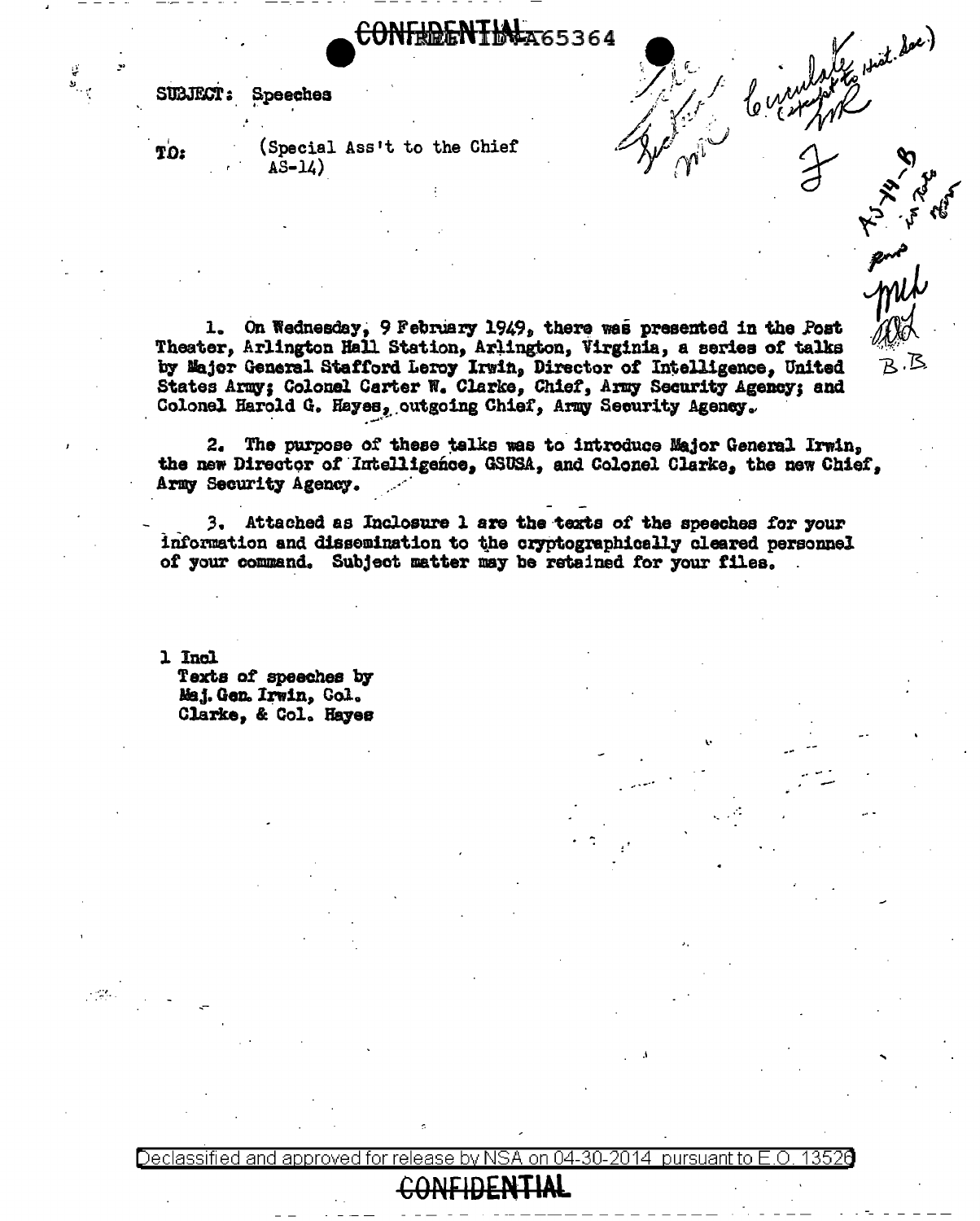SUBJECT: Speeches

TO:

 $\frac{1}{2}$ 

(Special Ass't to the Chief  $\overline{AS}$ -14)

1. On Wednesday, 9 February 1949, there was presented in the Post Theater, Arlington Hall Station, Arlington, Virginia, a series of talks by Major General Stafford Leroy Irwin, Director of Intelligence, United States Army: Colonel Carter W. Clarke. Chief. Army Security Agency: and Colonel Harold G. Hayes, outgoing Chief, Army Security Agency.

**AR5364** 

(le Hist. dae)

mil

R.B

Comme

2. The purpose of these talks was to introduce Major General Irwin, the new Director of Intelligence, GSUSA, and Colonel Clarke, the new Chief, Army Security Agency.

3. Attached as Inclosure 1 are the texts of the speeches for your information and dissemination to the cryptographically cleared personnel of your command. Subject matter may be retained for your files.

1 Incl

Texts of speeches by Maj. Gen. Irwin, Gol. Clarke, & Col. Hayes

on 04-30-2014 pursuant to  $\mathsf{E}.\mathsf{O}_+$ Declassified and approved for rele 13526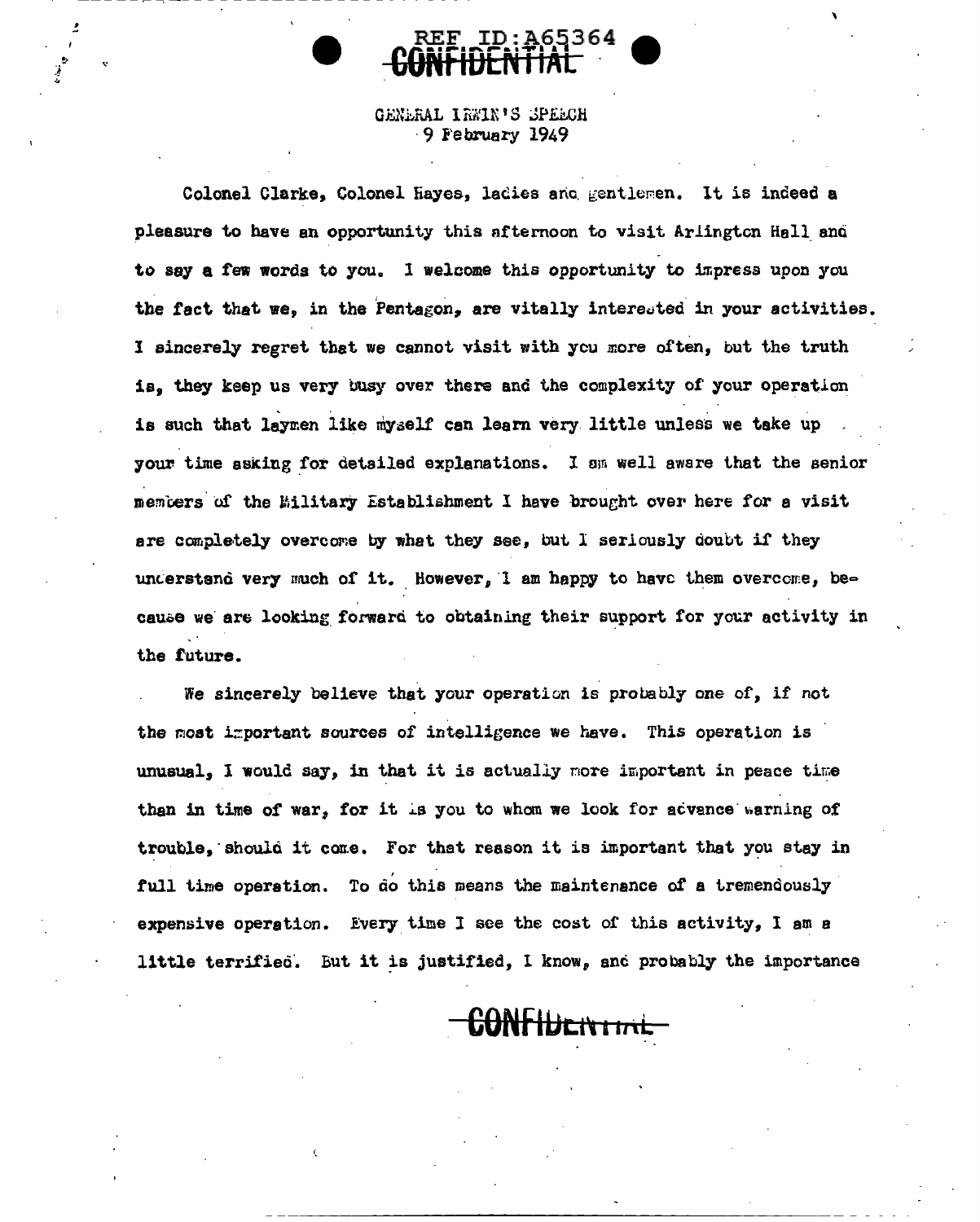## GENERAL IREIN'S SPEECH 9 February 1949

ID:A65364

Colonel Clarke, Colonel Hayes, ladies and gentlemen. It is indeed a pleasure to have an opportunity this afternoon to visit Arlington Hall and to say a few words to you. I welcome this opportunity to impress upon you the fact that we, in the Pentagon, are vitally interacted in your activities. I sincerely regret that we cannot visit with you more often, but the truth is, they keep us very busy over there and the complexity of your operation is such that laymen like myself can learn very little unless we take up your time asking for detailed explanations. I am well aware that the senior members of the Military Establishment I have brought over here for a visit are completely overcome by what they see, but I seriously doubt if they understand very much of it. However, I am happy to have them overcome, because we are looking forward to obtaining their support for your activity in the future.

We sincerely believe that your operation is probably one of, if not the most important sources of intelligence we have. This operation is unusual, I would say, in that it is actually more important in peace time than in time of war, for it is you to whom we look for advance warning of trouble, should it come. For that reason it is important that you stay in full time operation. To do this means the maintenance of a tremendously expensive operation. Every time I see the cost of this activity, I am a little terrified. But it is justified, I know, and probably the importance

GONFIDERTIAL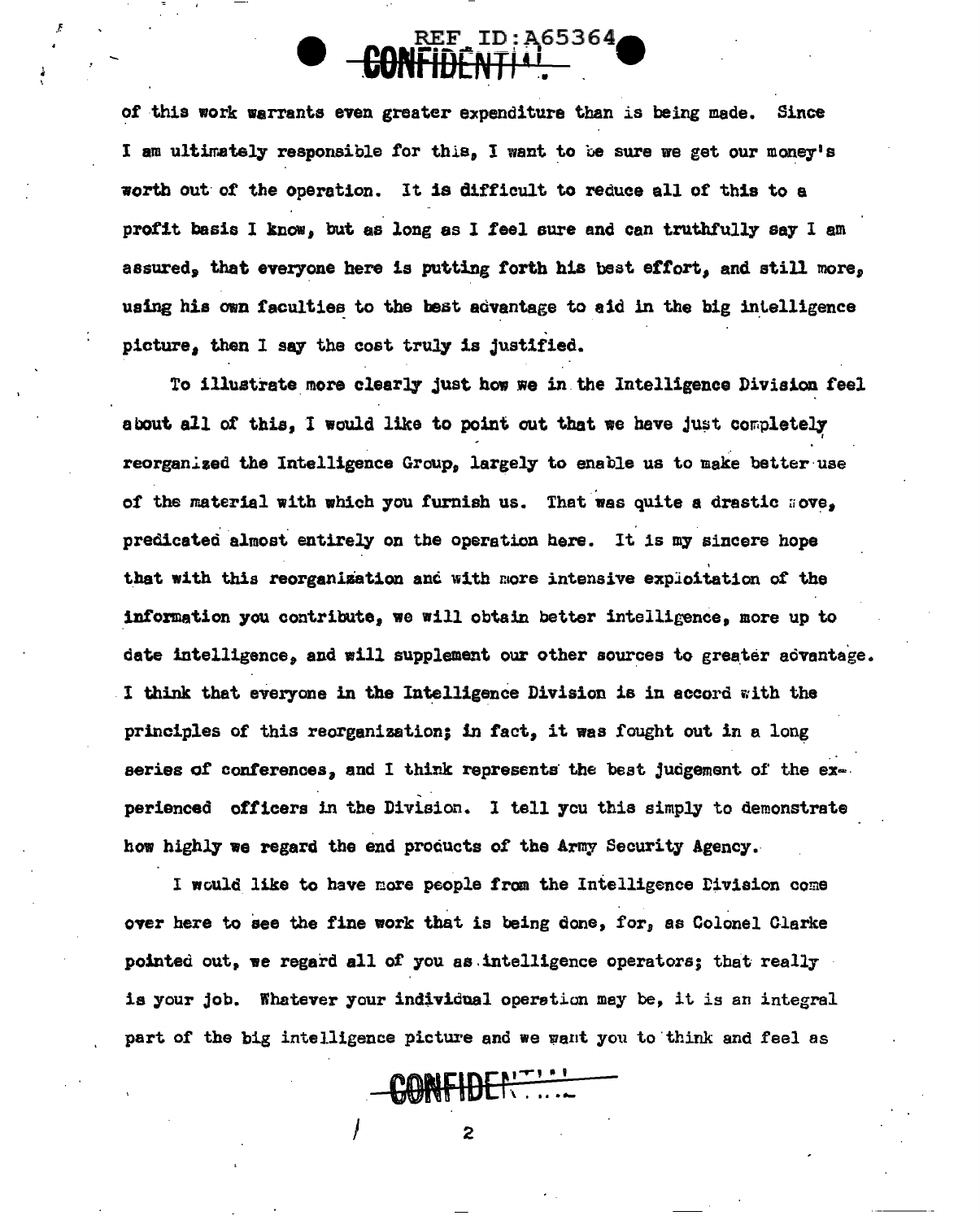

of this work warrants even greater expenditure than is being made. Since I am ultimately responsible for this, I want to be sure we get our money's worth out of the operation. It is difficult to reduce all of this to a profit basis I know, but as long as I feel sure and can truthfully say I am assured, that everyone here is putting forth his best effort, and still more. using his own faculties to the best advantage to aid in the big intelligence picture, then I say the cost truly is justified.

To illustrate more clearly just how we in the Intelligence Division feel about all of this, I would like to point out that we have just completely reorganized the Intelligence Group, largely to enable us to make better use of the material with which you furnish us. That was ouite a drastic nove. predicated almost entirely on the operation here. It is my sincere hope that with this reorganization and with more intensive exploitation of the information you contribute, we will obtain better intelligence, more up to date intelligence, and will supplement our other sources to greater advantage. I think that everyone in the Intelligence Division is in accord with the principles of this reorganization; in fact, it was fought out in a long series of conferences, and I think represents the best judgement of the experienced officers in the Division. I tell you this simply to demonstrate how highly we regard the end products of the Army Security Agency.

I would like to have more people from the Intelligence Division come over here to see the fine work that is being done, for, as Colonel Clarke pointed out, we regard all of you as intelligence operators; that really is your job. Whatever your individual operation may be, it is an integral part of the big intelligence picture and we want you to think and feel as

CONFIDENTILL

2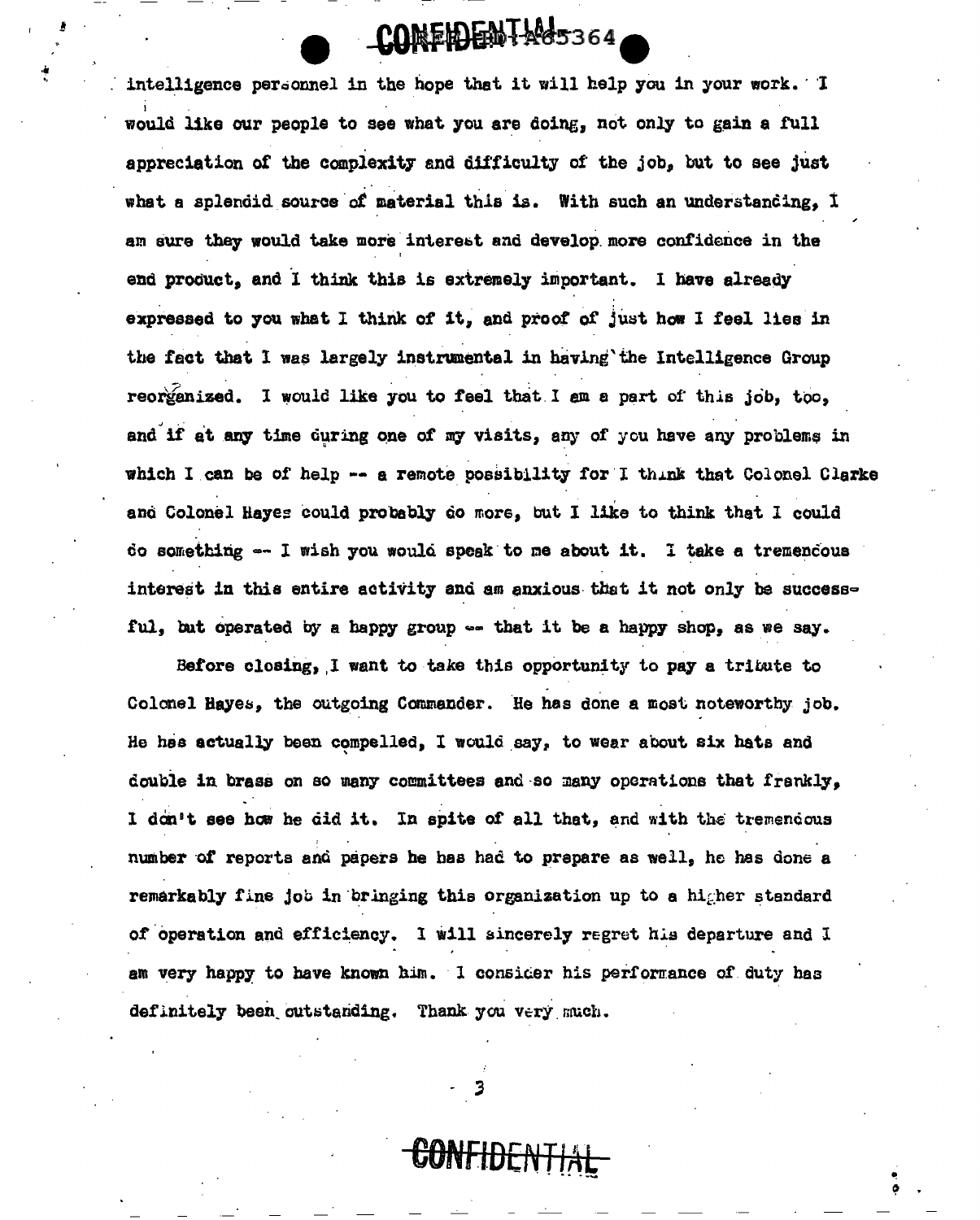intelligence personnel in the hope that it will help you in your work. I would like our people to see what you are doing, not only to gain a full appreciation of the complexity and difficulty of the job, but to see just what a splendid source of material this is. With such an understanding, I am sure they would take more interest and develop more confidence in the end product, and I think this is extremely important. I have already expressed to you what I think of it, and proof of just how I feel lies in the fact that I was largely instrumental in having the Intelligence Group reorganized. I would like you to feel that I am a part of this job, too, and if at any time during one of my visits, any of you have any problems in which I can be of help -- a remote possibility for I think that Colonel Clarke and Colonel Hayes could probably do more, but I like to think that I could do something -- I wish you would speak to me about it. I take a tremendous interest in this entire activity and am anxious that it not only be successful, but operated by a happy group -- that it be a happy shop, as we say.

COMENDENT Nosses

Before closing, I want to take this opportunity to pay a tribute to Colomel Hayes, the outgoing Commander. He has done a most noteworthy job. He has actually been compelled, I would say, to wear about six hats and double in brass on so many committees and so many operations that frankly. I don't see how he did it. In spite of all that, and with the tremendous number of reports and papers he has had to prepare as well, he has done a remarkably fine job in bringing this organization up to a higher standard of operation and efficiency. I will sincerely regret his departure and I am very happy to have known him. I consider his performance of duty has definitely been outstanding. Thank you very much.

<del>CONFIDENTIAL</del>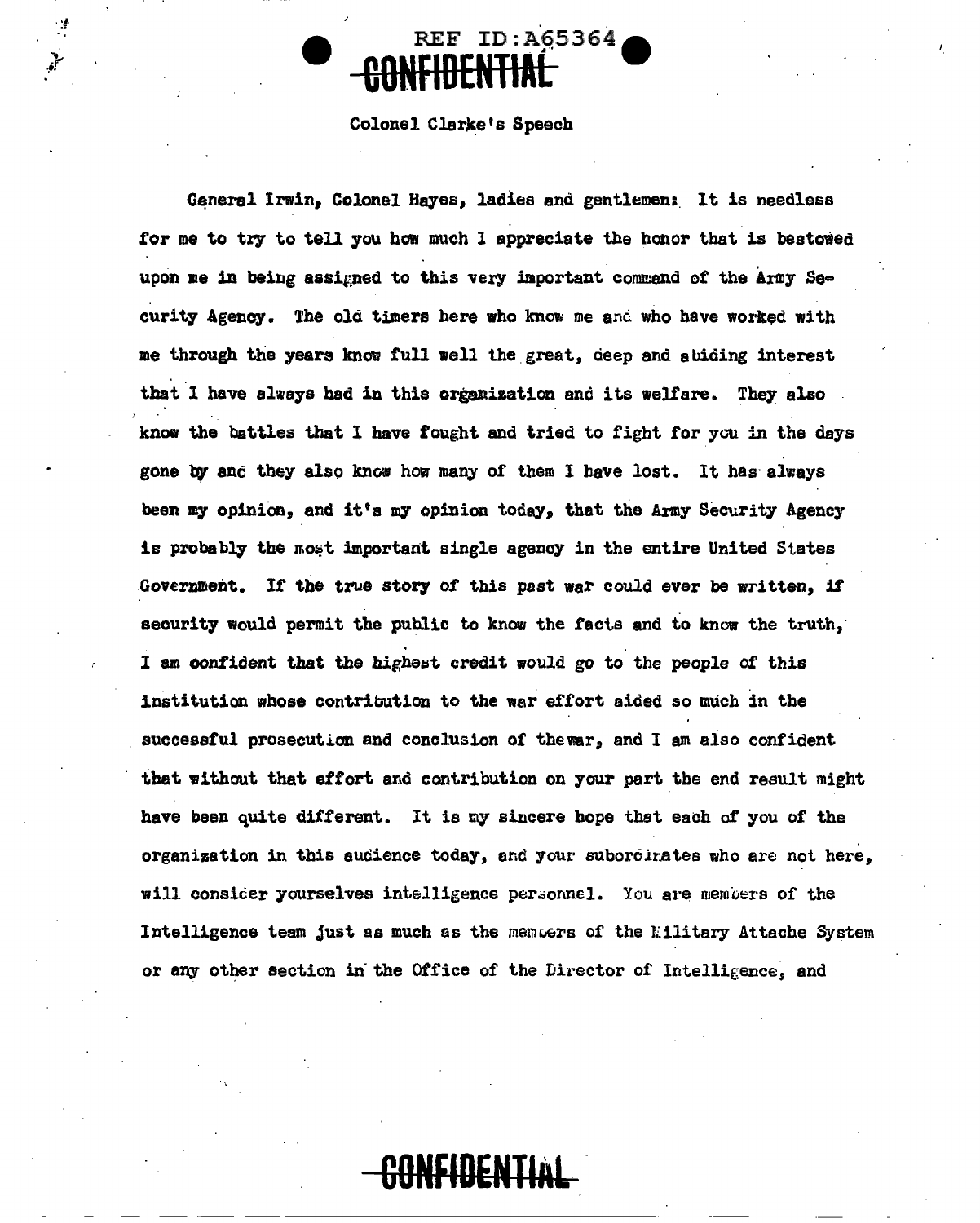

## Colonel Clarke's Speech

 $\mathcal{I}$ 

General Irwin. Colonel Hayes, ladies and gentlemen: It is needless for me to try to tell you how much I appreciate the honor that is bestowed upon me in being assigned to this very important command of the Army Security Agency. The old timers here who know me and who have worked with me through the years know full well the great, deep and abiding interest that I have always had in this organization and its welfare. They also know the battles that I have fought and tried to fight for you in the days gone by and they also know how many of them I have lost. It has always been my opinion, and it's my opinion today, that the Army Security Agency is probably the most important single agency in the entire United States Government. If the true story of this past war could ever be written, if security would permit the public to know the facts and to know the truth, I am confident that the highest credit would go to the people of this institution whose contribution to the war effort aided so much in the successful prosecution and conclusion of thewar, and I am also confident that without that effort and contribution on your part the end result might have been quite different. It is my sincere hope that each of you of the organization in this audience today, and your subordinates who are not here. will consider yourselves intelligence personnel. You are members of the Intelligence team just as much as the memoers of the kilitary Attache System or any other section in the Office of the Director of Intelligence, and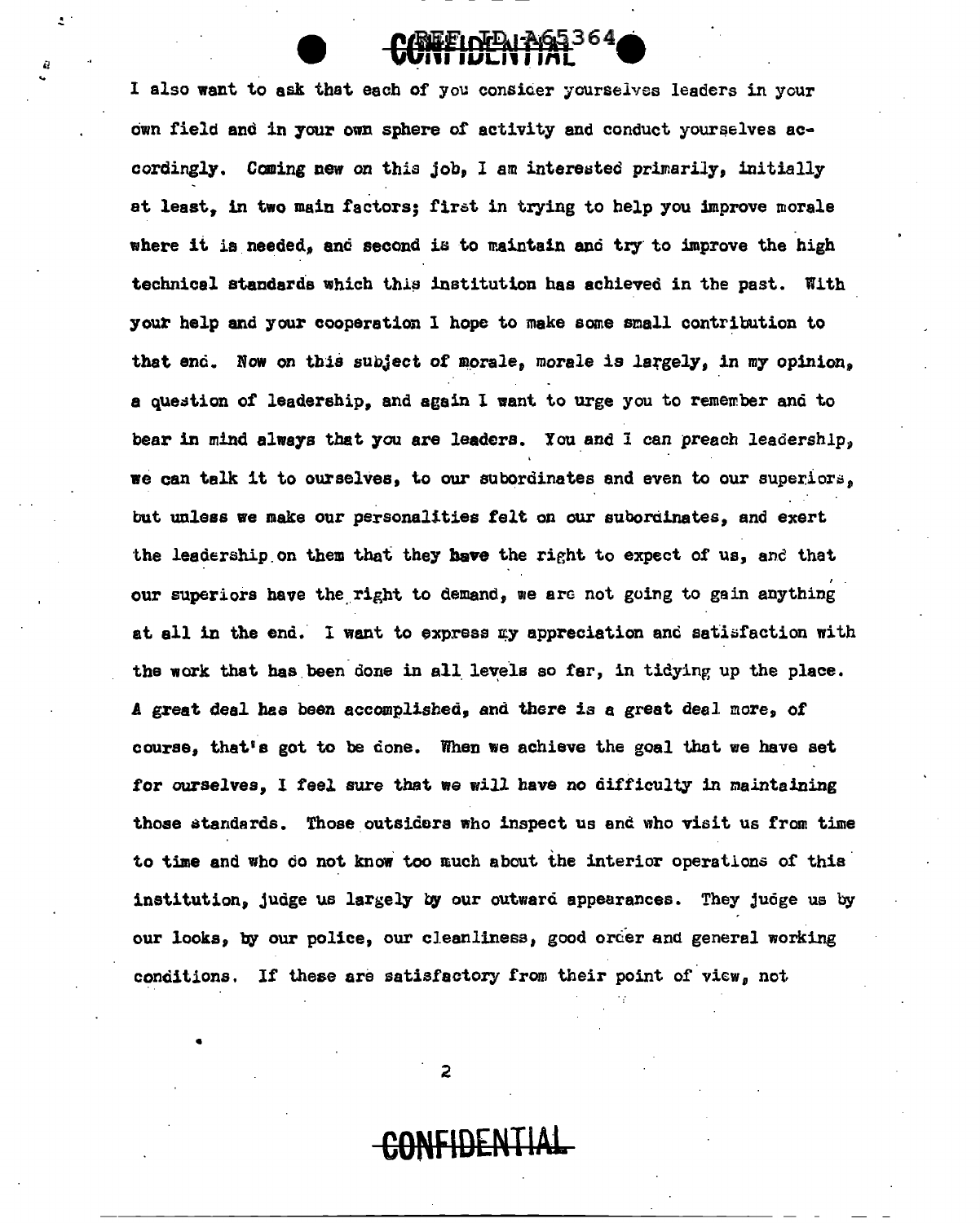I also want to ask that each of you consicer yourselves leaders in your own field and in your own sphere of activity and conduct yourselves accordingly. Coming new on this job. I am interested primarily, initially et least, in two main factors; firct in trying to help you improve morale where it is needed, and second is to maintain and try to improve the high technical standards which this institution has achieved in the past. With your help and your cooperation 1 hope to make some small contribution to that end. Now on this subject of morale, morale is largely, in my opinion, a question of leadership, and again I want to urge you to remember and to bear in mind always that you are leaders. You and I can preach leadership, we can talk it to ourselves, to our subordinates and even to our superiors, but unless we make our personalities felt on our subordinates, and exert the leadership on them that they have the right to expect of us, and that our superiors have the right to demand, we are not going to gain anything at all in the end. I want to express my appreciation and satisfaction with the work that has been done in all levels so fer, in tidying up the place. A great deal has been accomplished, and there is a great dee1 more, of course, that's got to be done. When we achieve the goal that we have set for ourselves, I feel sure that we will have no difficulty in maintaining those standards. Those outsiders who inspect us and who visit us from time to time and who do not know too much about the interior operations of this institution, judge us largely by our outward appearances. They judge us by our looks, by our police, our cleanliness, good orcier and general working conditions. If these are satisfactory from their point of view, not

**FFINEN A65364** 

!"

*ii* 

2

•

**CONFlDENTlAl**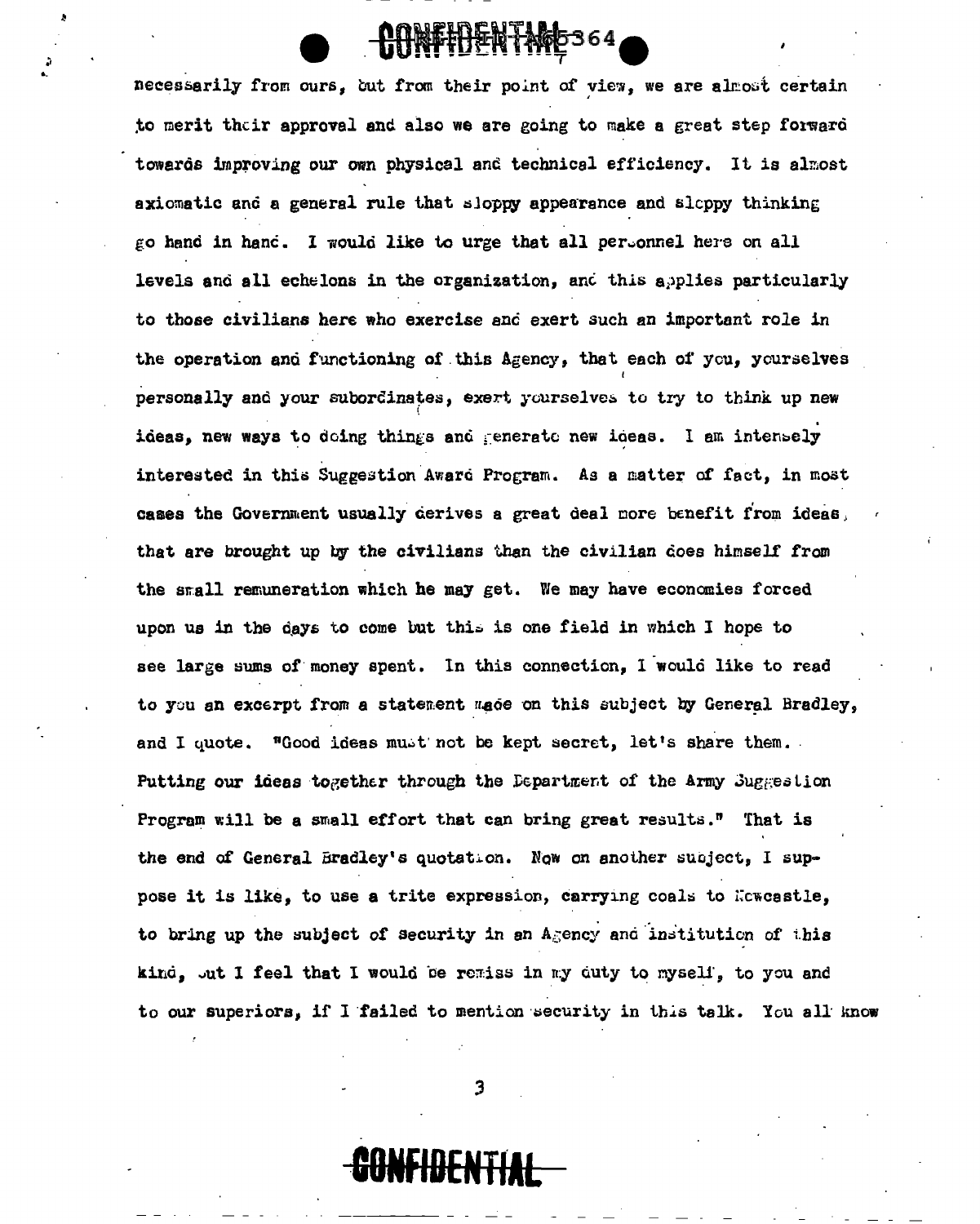necessarily from ours, but from their point of view, we are almost certain to merit their approval and also we are going to make a great step forward towards improving our own physical and technical efficiency. It is almost axiomatic and a general rule that sloppy appearance and sloppy thinking go hand in hand. I would like to urge that all pertonnel here on all levels and all echelons in the organization, and this applies particularly to those civilians here who exercise and exert such an important role in the operation and functioning of this Agency, that each of you, yourselves personally and your subordinates, exert yourselves to try to think up new ideas, new ways to doing things and generate new ideas. I am intensely interested in this Suggestion Award Program. As a matter of fact, in most cases the Government usually derives a great deal more benefit from ideas. that are brought up by the civilians than the civilian does himself from the small remuneration which he may get. We may have economies forced upon us in the days to come but this is one field in which I hope to see large sums of money spent. In this connection, I would like to read to you an excerpt from a statement made on this subject by General Bradley. and I quote. "Good ideas must not be kept secret, let's share them. Putting our ideas together through the Department of the Army Juggestion Program will be a small effort that can bring great results." That is the end of General Bradley's quotation. Now on another subject, I suppose it is like, to use a trite expression, carrying coals to Kowcastle. to bring up the subject of security in an Agency and institution of this kind, out I feel that I would be remiss in my duty to myself, to you and to our superiors, if I failed to mention security in this talk. You all know

**ONEIDENTIAL** 

3

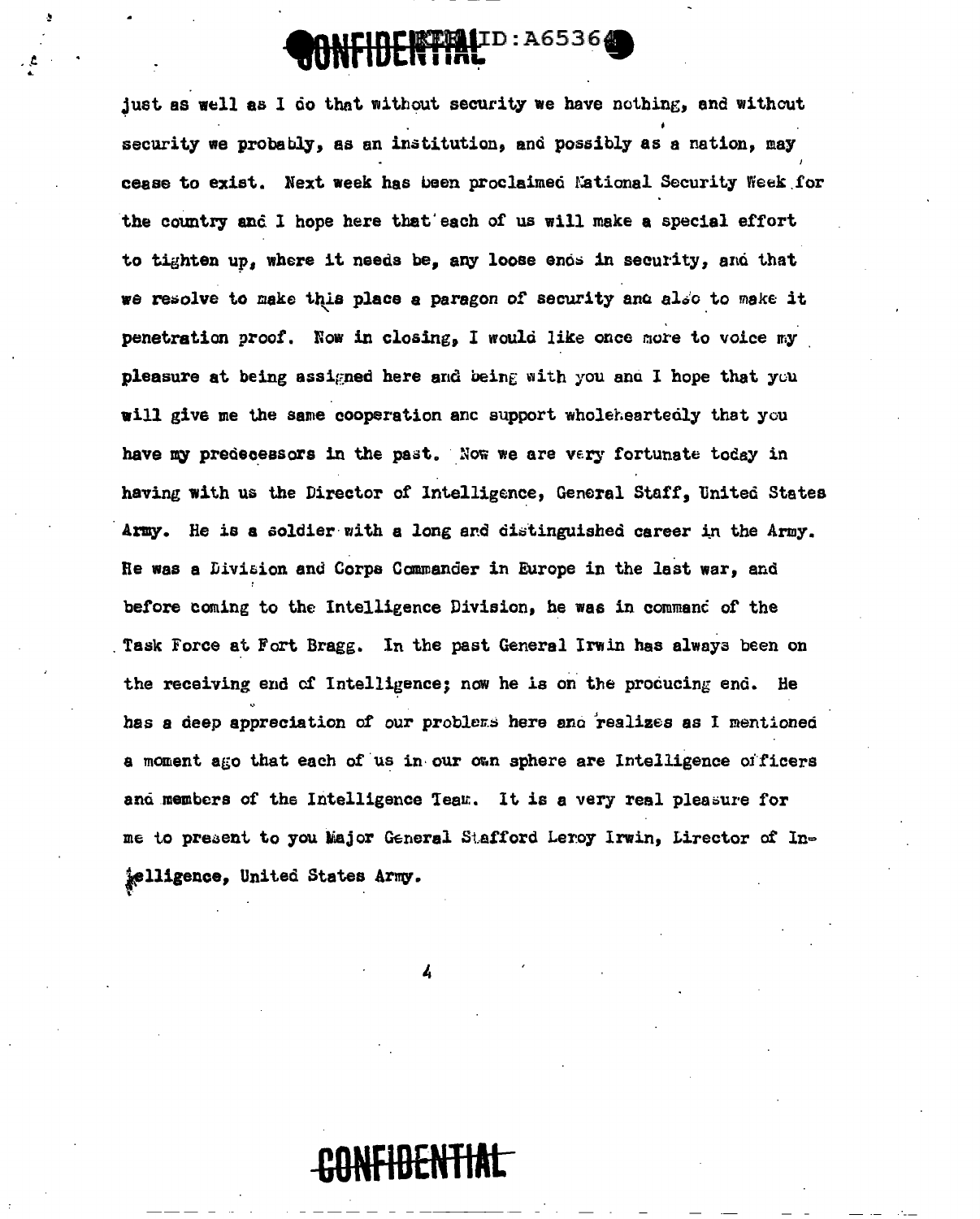## NFIDERTRIID:A6536@

just as well as I do that without security we have nothing, and without security we probably, as an institution, and possibly as a nation, may cease to exist. Next week has been proclaimed National Security Week for the country and I hope here that each of us will make a special effort to tighten up, where it needs be, any loose ends in security, and that we resolve to make this place a paragon of security and also to make it penetration proof. Now in closing, I would like once more to voice my pleasure at being assigned here and being with you and I hope that you will give me the same cooperation and support wholeheartedly that you have my predecessors in the past. Now we are very fortunate today in having with us the Director of Intelligence, General Staff, United States Army. He is a soldier with a long and distinguished career in the Army. He was a Division and Corps Commander in Europe in the last war, and before coming to the Intelligence Division, he was in command of the Task Force at Fort Bragg. In the past General Irwin has always been on the receiving end of Intelligence; now he is on the procucing end. He has a deep appreciation of our problems here and realizes as I mentioned a moment ago that each of us in our own sphere are Intelligence officers and members of the Intelligence Team. It is a very real pleasure for me to present to you Major General Stafford Leroy Irwin, Lirector of Injelligence, United States Army.

## NEHENTIAL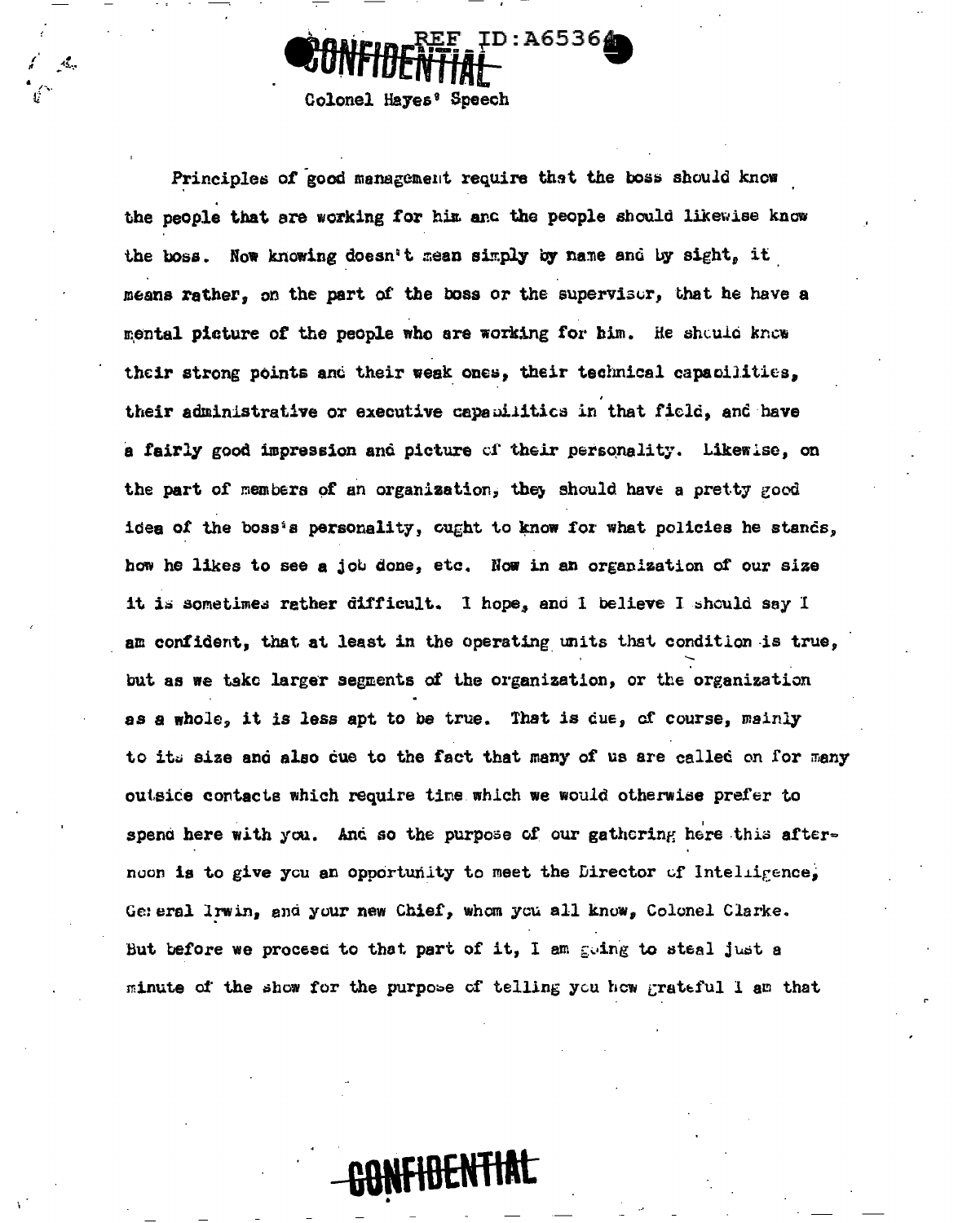

Colonel Hayes' Speech

Principles of good management require that the boss should know the people that are working for him and the people should likewise know the boss. Now knowing doesn't mean simply by name and by sight, it means rather, on the part of the boss or the supervisor, that he have a mental picture of the people who are working for him. He should know their strong points and their weak ones, their technical capacilities, their administrative or executive capabilitics in that field, and have a fairly good impression and picture of their personality. Likewise, on the part of members of an organization, they should have a pretty good idea of the boss's personality, cught to know for what policies he stands, how he likes to see a job done, etc. Now in an organization of our size it is sometimes rather difficult. I hope, and I believe I should say I am confident, that at least in the operating units that condition is true, but as we take larger segments of the organization, or the organization as a whole, it is less apt to be true. That is due, of course, mainly to its size and also due to the fact that many of us are called on for many outsice contacts which require time which we would otherwise prefer to spend here with you. And so the purpose of our gathering here this afternoon is to give you an opportunity to meet the Director of Intelligence, Ge: eral Irwin, and your new Chief, whom you all know, Colonel Clarke. But before we process to that part of it, I am guing to steal just a minute of the show for the purpose of telling you how grateful I am that